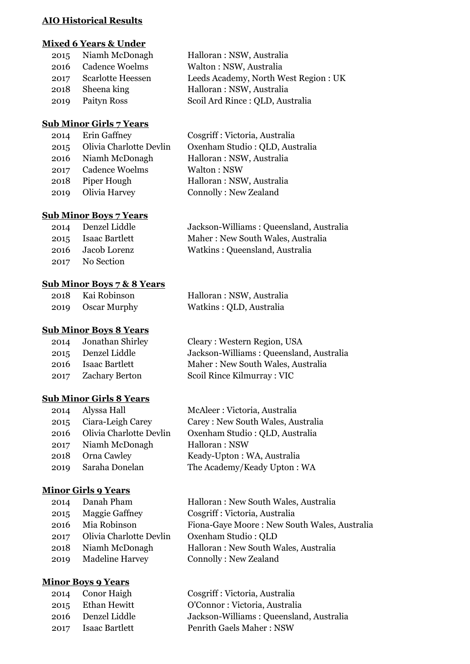#### **AIO Historical Results**

## **Mixed 6 Years & Under**

| Halloran: NSW, Australia             |
|--------------------------------------|
| Walton: NSW, Australia               |
| Leeds Academy, North West Region: UK |
| Halloran: NSW, Australia             |
| Scoil Ard Rince : QLD, Australia     |
|                                      |

# **Sub Minor Girls 7 Years**

| 2014 | Erin Gaffney            | Cosgriff : Victoria, Australia |
|------|-------------------------|--------------------------------|
| 2015 | Olivia Charlotte Devlin | Oxenham Studio: QLD, Australia |
|      | 2016 Niamh McDonagh     | Halloran: NSW, Australia       |
| 2017 | <b>Cadence Woelms</b>   | Walton: NSW                    |
| 2018 | Piper Hough             | Halloran: NSW, Australia       |
| 2019 | Olivia Harvey           | Connolly: New Zealand          |
|      |                         |                                |

## **Sub Minor Boys 7 Years**

| 2014 Denzel Liddle  | Jackson-Williams: Queensland, Australia |
|---------------------|-----------------------------------------|
| 2015 Isaac Bartlett | Maher: New South Wales, Australia       |
| 2016 Jacob Lorenz   | Watkins: Queensland, Australia          |
| 2017 No Section     |                                         |

## **Sub Minor Boys 7 & 8 Years**

| 2018 | Kai Robinson | Halloran: NSW, Australia |
|------|--------------|--------------------------|
| 2019 | Oscar Murphy | Watkins: QLD, Australia  |

# **Sub Minor Boys 8 Years**

| 2014 | Jonathan Shirley      |
|------|-----------------------|
| 2015 | Denzel Liddle         |
| 2016 | <b>Isaac Bartlett</b> |
| 2017 | <b>Zachary Berton</b> |
|      |                       |

# Cleary : Western Region, USA Jackson-Williams : Queensland, Australia Maher : New South Wales, Australia Scoil Rince Kilmurray : VIC

# **Sub Minor Girls 8 Years**

| 2014 | Alyssa Hall             | McAleer: Victoria, Australia      |
|------|-------------------------|-----------------------------------|
| 2015 | Ciara-Leigh Carey       | Carey: New South Wales, Australia |
| 2016 | Olivia Charlotte Devlin | Oxenham Studio: QLD, Australia    |
|      | 2017 Niamh McDonagh     | Halloran: NSW                     |
| 2018 | Orna Cawley             | Keady-Upton: WA, Australia        |
| 2019 | Saraha Donelan          | The Academy/Keady Upton: WA       |
|      |                         |                                   |

# **Minor Girls 9 Years**

| 2014 | Danah Pham              | Halloran: New South Wales, Australia         |
|------|-------------------------|----------------------------------------------|
| 2015 | <b>Maggie Gaffney</b>   | Cosgriff : Victoria, Australia               |
|      | 2016 Mia Robinson       | Fiona-Gaye Moore: New South Wales, Australia |
| 2017 | Olivia Charlotte Devlin | Oxenham Studio: QLD                          |
| 2018 | Niamh McDonagh          | Halloran: New South Wales, Australia         |
| 2019 | <b>Madeline Harvey</b>  | Connolly: New Zealand                        |
|      |                         |                                              |

# **Minor Boys 9 Years**

| 2014 | Conor Haigh           |
|------|-----------------------|
| 2015 | <b>Ethan Hewitt</b>   |
| 2016 | Denzel Liddle         |
| 2017 | <b>Isaac Bartlett</b> |

Cosgriff : Victoria, Australia O'Connor : Victoria, Australia Jackson-Williams : Queensland, Australia Penrith Gaels Maher : NSW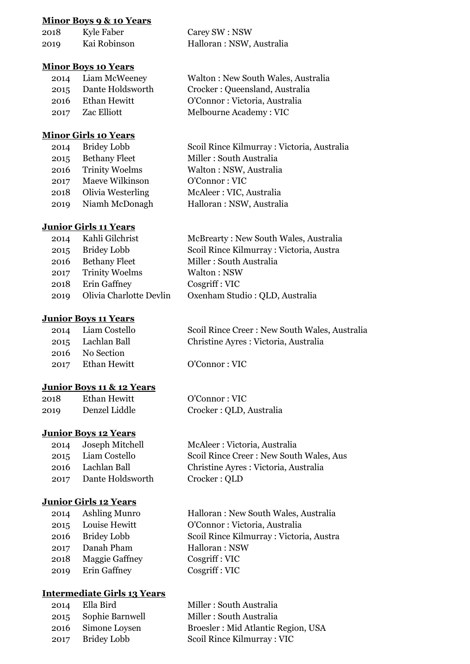#### **Minor Boys 9 & 10 Years**

| 2018 | Kyle Faber   | Carey SW : NSW            |
|------|--------------|---------------------------|
| 2019 | Kai Robinson | Halloran : NSW, Australia |

#### **Minor Boys 10 Years**

| 2014 Liam McWeeney    | Walton: New South Wales, Australia |
|-----------------------|------------------------------------|
| 2015 Dante Holdsworth | Crocker: Queensland, Australia     |
| 2016 Ethan Hewitt     | O'Connor: Victoria, Australia      |
| 2017 Zac Elliott      | Melbourne Academy: VIC             |

## **Minor Girls 10 Years**

|      | 2014 Bridey Lobb       | Scoil Rince Kilmurray: Victoria, Australia |
|------|------------------------|--------------------------------------------|
| 2015 | Bethany Fleet          | Miller: South Australia                    |
|      | 2016 Trinity Woelms    | Walton: NSW, Australia                     |
|      | 2017 Maeve Wilkinson   | O'Connor: VIC                              |
|      | 2018 Olivia Westerling | McAleer: VIC, Australia                    |
|      | 2019 Niamh McDonagh    | Halloran: NSW, Australia                   |
|      |                        |                                            |

## **Junior Girls 11 Years**

| 2014 Kahli Gilchrist         | McBrearty: New South Wales, Australia   |
|------------------------------|-----------------------------------------|
| 2015 Bridey Lobb             | Scoil Rince Kilmurray: Victoria, Austra |
| 2016 Bethany Fleet           | Miller: South Australia                 |
| 2017 Trinity Woelms          | Walton: NSW                             |
| 2018 Erin Gaffney            | Cosgriff: VIC                           |
| 2019 Olivia Charlotte Devlin | Oxenham Studio: QLD, Australia          |

#### **Junior Boys 11 Years**

| Scoil Rince Creer: New South Wales, Australia                                   |
|---------------------------------------------------------------------------------|
| Christine Ayres : Victoria, Australia                                           |
|                                                                                 |
| O'Connect: VLC                                                                  |
| 2014 Liam Costello<br>2015 Lachlan Ball<br>2016 No Section<br>2017 Ethan Hewitt |

Crocker : QLD

## **Junior Boys 11 & 12 Years**

| 2018 | Ethan Hewitt  | O'Connor: VIC           |
|------|---------------|-------------------------|
| 2019 | Denzel Liddle | Crocker: QLD, Australia |

## **Junior Boys 12 Years**

| 2014 | Joseph Mitchell  |
|------|------------------|
| 2015 | Liam Costello    |
| 2016 | Lachlan Ball     |
| 2017 | Dante Holdsworth |

## **Junior Girls 12 Years**

| 2014 | Ashling Munro         |
|------|-----------------------|
| 2015 | Louise Hewitt         |
| 2016 | <b>Bridey Lobb</b>    |
| 2017 | Danah Pham            |
| 2018 | <b>Maggie Gaffney</b> |
| 2019 | Erin Gaffney          |

# **Intermediate Girls 13 Years**

| 2014 | Ella Bird          |
|------|--------------------|
| 2015 | Sophie Barnwell    |
| 2016 | Simone Loysen      |
| 2017 | <b>Bridey Lobb</b> |

Halloran : New South Wales, Australia O'Connor : Victoria, Australia Scoil Rince Kilmurray : Victoria, Austra Halloran : NSW Cosgriff : VIC Cosgriff : VIC

Scoil Rince Creer : New South Wales, Aus

Christine Ayres : Victoria, Australia

McAleer : Victoria, Australia

Miller : South Australia Miller : South Australia Broesler : Mid Atlantic Region, USA Scoil Rince Kilmurray : VIC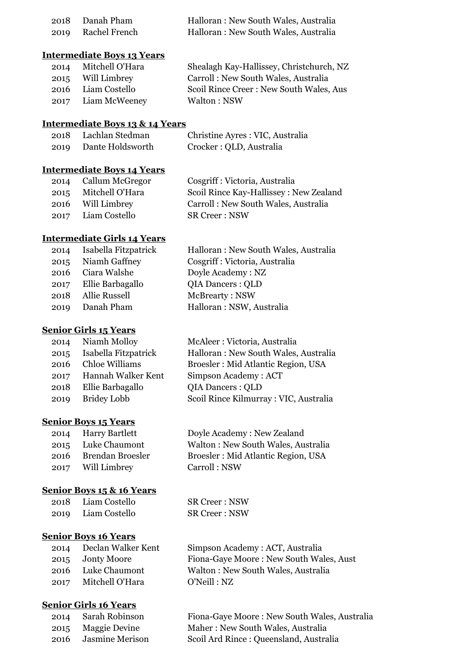| 2018 Danah Pham    | Halloran: New South Wales, Australia |
|--------------------|--------------------------------------|
| 2019 Rachel French | Halloran: New South Wales, Australia |

## **Intermediate Boys 13 Years**

| 2014 Mitchell O'Hara | Shealagh Kay-Hallissey, Christchurch, NZ |
|----------------------|------------------------------------------|
| 2015 Will Limbrey    | Carroll: New South Wales, Australia      |
| 2016 Liam Costello   | Scoil Rince Creer: New South Wales, Aus  |
| 2017 Liam McWeeney   | Walton: NSW                              |

#### **Intermediate Boys 13 & 14 Years**

| -2018 | Lachlan Stedman  | Christine Ayres : VIC, Australia |
|-------|------------------|----------------------------------|
| 2019  | Dante Holdsworth | Crocker : QLD, Australia         |

## **Intermediate Boys 14 Years**

| 2014 Callum McGregor | Cosgriff : Victoria, Australia         |
|----------------------|----------------------------------------|
| 2015 Mitchell O'Hara | Scoil Rince Kay-Hallissey: New Zealand |
| 2016 Will Limbrey    | Carroll: New South Wales, Australia    |
| 2017 Liam Costello   | <b>SR Creer: NSW</b>                   |

# **Intermediate Girls 14 Years**

| 2014 | Isabella Fitzpatrick  | Halloran: New South Wales, Australia |
|------|-----------------------|--------------------------------------|
| 2015 | Niamh Gaffney         | Cosgriff : Victoria, Australia       |
|      | 2016 Ciara Walshe     | Doyle Academy: NZ                    |
|      | 2017 Ellie Barbagallo | <b>QIA Dancers: QLD</b>              |
| 2018 | Allie Russell         | McBrearty: NSW                       |
| 2019 | Danah Pham            | Halloran: NSW, Australia             |
|      |                       |                                      |

#### **Senior Girls 15 Years**

| 2014 | Niamh Molloy          |
|------|-----------------------|
| 2015 | Isabella Fitzpatrick  |
| 2016 | <b>Chloe Williams</b> |
| 2017 | Hannah Walker Kent    |
| 2018 | Ellie Barbagallo      |
| 2019 | <b>Bridey Lobb</b>    |

#### **Senior Boys 15 Years**

|      | 2014 Harry Bartlett |
|------|---------------------|
|      | 2015 Luke Chaumont  |
| 2016 | Brendan Broesler    |
|      | 2017 Will Limbrey   |

#### **Senior Boys 15 & 16 Years**

| 2018 | Liam Costello | SR Creer : NSW |
|------|---------------|----------------|
| 2019 | Liam Costello | SR Creer : NSW |

### **Senior Boys 16 Years**

| Declan Walker Kent |
|--------------------|
| <b>Jonty Moore</b> |
| Luke Chaumont      |
| Mitchell O'Hara    |
|                    |

# **Senior Girls 16 Years**

| 2014 | Sarah Robinson     | Fiona-Gaye Moore: New South Wales, Australia |
|------|--------------------|----------------------------------------------|
|      | 2015 Maggie Devine | Maher: New South Wales, Australia            |
| 2016 | Jasmine Merison    | Scoil Ard Rince: Queensland, Australia       |

McAleer : Victoria, Australia Halloran : New South Wales, Australia Broesler : Mid Atlantic Region, USA Simpson Academy : ACT QIA Dancers : QLD 2019 Bridey Lobb Scoil Rince Kilmurray : VIC, Australia

> Doyle Academy : New Zealand Walton : New South Wales, Australia Broesler : Mid Atlantic Region, USA Carroll : NSW

Creer : NSW

Simpson Academy : ACT, Australia Fiona-Gaye Moore : New South Wales, Aust Walton : New South Wales, Australia O'Neill : NZ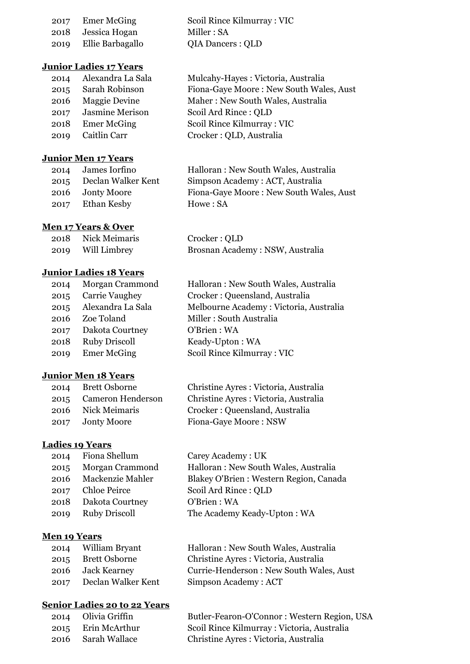|      | 2017 Emer McGing   | Scoil Rince Kilmurray: VIC |
|------|--------------------|----------------------------|
|      | 2018 Jessica Hogan | Miller : SA                |
| 2019 | Ellie Barbagallo   | QIA Dancers : QLD          |

## **Junior Ladies 17 Years**

| 2014 | Alexandra La Sala      |
|------|------------------------|
| 2015 | Sarah Robinson         |
| 2016 | <b>Maggie Devine</b>   |
| 2017 | <b>Jasmine Merison</b> |
| 2018 | <b>Emer McGing</b>     |
| 2019 | Caitlin Carr           |
|      |                        |

# **Junior Men 17 Years**

| 2014 | James Iorfino      |
|------|--------------------|
| 2015 | Declan Walker Kent |
| 2016 | <b>Jonty Moore</b> |
| 2017 | Ethan Kesby        |

## **Men 17 Years & Over**

| 2018 | Nick Meimaris | Crocker : QLD                   |
|------|---------------|---------------------------------|
| 2019 | Will Limbrey  | Brosnan Academy: NSW, Australia |

#### **Junior Ladies 18 Years**

| 2014 | Morgan Crammond      |
|------|----------------------|
| 2015 | Carrie Vaughey       |
| 2015 | Alexandra La Sala    |
| 2016 | Zoe Toland           |
| 2017 | Dakota Courtney      |
| 2018 | <b>Ruby Driscoll</b> |
| 2019 | <b>Emer McGing</b>   |
|      |                      |

## **Junior Men 18 Years**

|      | 2014 Brett Osborne | Christine Ayres: Victoria, Australia  |
|------|--------------------|---------------------------------------|
| 2015 | Cameron Henderson  | Christine Ayres : Victoria, Australia |
| 2016 | Nick Meimaris      | Crocker: Queensland, Australia        |
|      | 2017 Jonty Moore   | Fiona-Gaye Moore: NSW                 |

# **Ladies 19 Years**

| 2014 | Fiona Shellum           |
|------|-------------------------|
| 2015 | Morgan Crammond         |
| 2016 | <b>Mackenzie Mahler</b> |
| 2017 | <b>Chloe Peirce</b>     |
| 2018 | Dakota Courtney         |
| 2019 | <b>Ruby Driscoll</b>    |
|      |                         |

## **Men 19 Years**

| 2014 | William Bryant     | Halloran: New South Wales, Australia    |
|------|--------------------|-----------------------------------------|
| 2015 | Brett Osborne      | Christine Ayres : Victoria, Australia   |
|      | 2016 Jack Kearney  | Currie-Henderson: New South Wales, Aust |
| 2017 | Declan Walker Kent | Simpson Academy: ACT                    |
|      |                    |                                         |

## **Senior Ladies 20 to 22 Years**

| 2014 Olivia Griffin    | Butler-Fearon-O'Connor: Western Region, USA |
|------------------------|---------------------------------------------|
| 2015 Erin McArthur     | Scoil Rince Kilmurray: Victoria, Australia  |
| 2016     Sarah Wallace | Christine Ayres : Victoria, Australia       |

Mulcahy-Hayes : Victoria, Australia Fiona-Gaye Moore : New South Wales, Aust Maher : New South Wales, Australia Scoil Ard Rince : OLD Scoil Rince Kilmurray : VIC Crocker : QLD, Australia

Halloran : New South Wales, Australia Simpson Academy : ACT, Australia Fiona-Gaye Moore : New South Wales, Aust Howe : SA

Halloran : New South Wales, Australia Crocker : Queensland, Australia Melbourne Academy : Victoria, Australia Miller : South Australia O'Brien : WA Keady-Upton : WA Scoil Rince Kilmurray : VIC

Carey Academy : UK Halloran : New South Wales, Australia Blakey O'Brien : Western Region, Canada Scoil Ard Rince : QLD O'Brien : WA The Academy Keady-Upton : WA